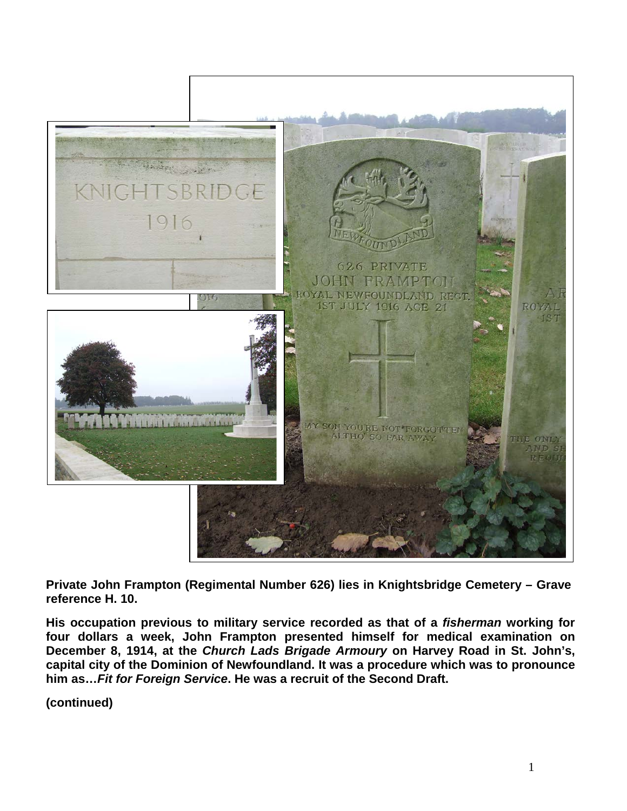

**Private John Frampton (Regimental Number 626) lies in Knightsbridge Cemetery – Grave reference H. 10.** 

**His occupation previous to military service recorded as that of a** *fisherman* **working for four dollars a week, John Frampton presented himself for medical examination on December 8, 1914, at the** *Church Lads Brigade Armoury* **on Harvey Road in St. John's, capital city of the Dominion of Newfoundland. It was a procedure which was to pronounce him as…***Fit for Foreign Service***. He was a recruit of the Second Draft.**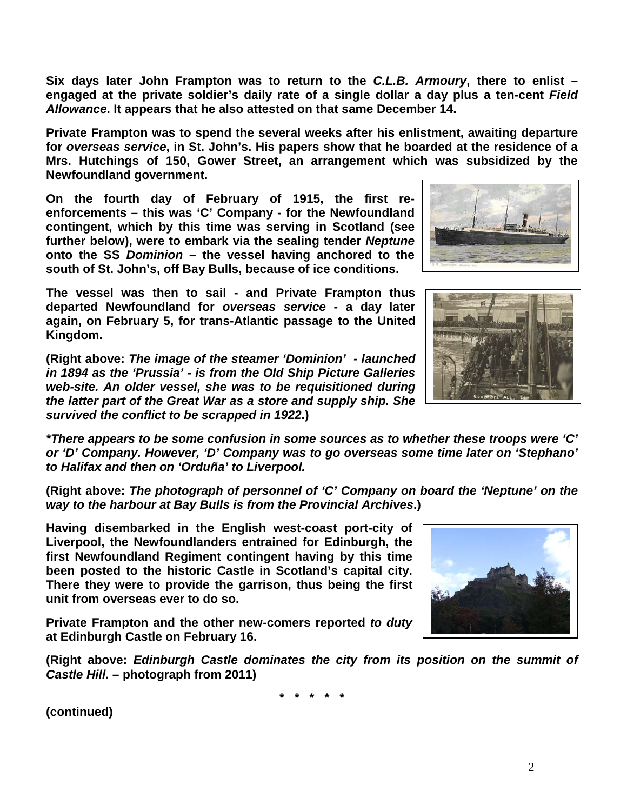2

**Six days later John Frampton was to return to the** *C.L.B. Armoury***, there to enlist – engaged at the private soldier's daily rate of a single dollar a day plus a ten-cent** *Field Allowance***. It appears that he also attested on that same December 14.** 

**Private Frampton was to spend the several weeks after his enlistment, awaiting departure for** *overseas service***, in St. John's. His papers show that he boarded at the residence of a Mrs. Hutchings of 150, Gower Street, an arrangement which was subsidized by the Newfoundland government.**

**On the fourth day of February of 1915, the first reenforcements – this was 'C' Company - for the Newfoundland contingent, which by this time was serving in Scotland (see further below), were to embark via the sealing tender** *Neptune* **onto the SS** *Dominion* **– the vessel having anchored to the south of St. John's, off Bay Bulls, because of ice conditions.** 

**The vessel was then to sail - and Private Frampton thus departed Newfoundland for** *overseas service* **- a day later again, on February 5, for trans-Atlantic passage to the United Kingdom.**

**(Right above:** *The image of the steamer 'Dominion' - launched in 1894 as the 'Prussia' - is from the Old Ship Picture Galleries web-site. An older vessel, she was to be requisitioned during the latter part of the Great War as a store and supply ship. She survived the conflict to be scrapped in 1922***.)**

*\*There appears to be some confusion in some sources as to whether these troops were 'C' or 'D' Company. However, 'D' Company was to go overseas some time later on 'Stephano' to Halifax and then on 'Orduña' to Liverpool.*

**(Right above:** *The photograph of personnel of 'C' Company on board the 'Neptune' on the way to the harbour at Bay Bulls is from the Provincial Archives***.)**

**Having disembarked in the English west-coast port-city of Liverpool, the Newfoundlanders entrained for Edinburgh, the first Newfoundland Regiment contingent having by this time been posted to the historic Castle in Scotland's capital city. There they were to provide the garrison, thus being the first unit from overseas ever to do so.** 

**Private Frampton and the other new-comers reported** *to duty* **at Edinburgh Castle on February 16.** 

**(Right above:** *Edinburgh Castle dominates the city from its position on the summit of Castle Hill***. – photograph from 2011)**

**\* \* \* \* \***





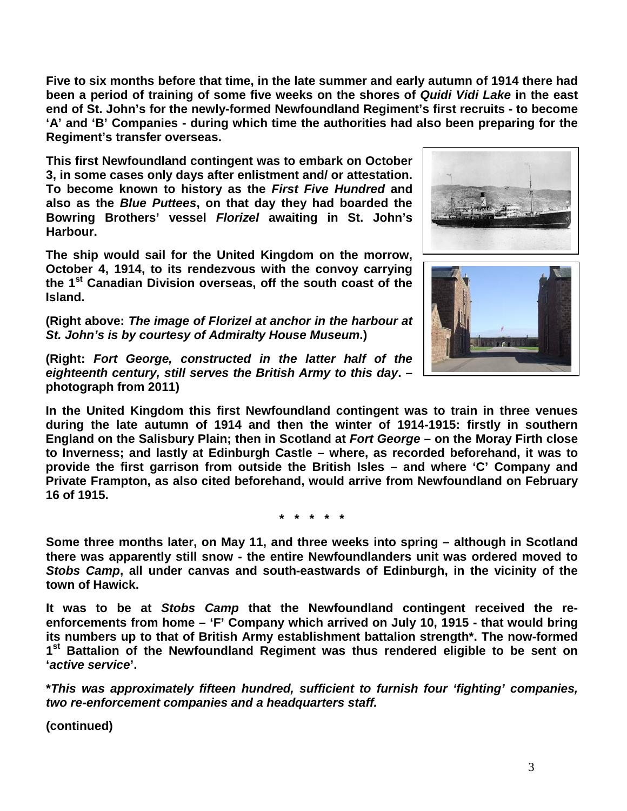**Five to six months before that time, in the late summer and early autumn of 1914 there had been a period of training of some five weeks on the shores of** *Quidi Vidi Lake* **in the east end of St. John's for the newly-formed Newfoundland Regiment's first recruits - to become 'A' and 'B' Companies - during which time the authorities had also been preparing for the Regiment's transfer overseas.**

**This first Newfoundland contingent was to embark on October 3, in some cases only days after enlistment and/ or attestation. To become known to history as the** *First Five Hundred* **and also as the** *Blue Puttees***, on that day they had boarded the Bowring Brothers' vessel** *Florizel* **awaiting in St. John's Harbour.**

**The ship would sail for the United Kingdom on the morrow, October 4, 1914, to its rendezvous with the convoy carrying the 1st Canadian Division overseas, off the south coast of the Island.** 

**(Right above:** *The image of Florizel at anchor in the harbour at St. John's is by courtesy of Admiralty House Museum***.)**





**(Right:** *Fort George, constructed in the latter half of the eighteenth century, still serves the British Army to this day***. – photograph from 2011)**

**In the United Kingdom this first Newfoundland contingent was to train in three venues during the late autumn of 1914 and then the winter of 1914-1915: firstly in southern England on the Salisbury Plain; then in Scotland at** *Fort George* **– on the Moray Firth close to Inverness; and lastly at Edinburgh Castle – where, as recorded beforehand, it was to provide the first garrison from outside the British Isles – and where 'C' Company and Private Frampton, as also cited beforehand, would arrive from Newfoundland on February 16 of 1915.**

**\* \* \* \* \***

**Some three months later, on May 11, and three weeks into spring – although in Scotland there was apparently still snow - the entire Newfoundlanders unit was ordered moved to**  *Stobs Camp***, all under canvas and south-eastwards of Edinburgh, in the vicinity of the town of Hawick.**

**It was to be at** *Stobs Camp* **that the Newfoundland contingent received the reenforcements from home – 'F' Company which arrived on July 10, 1915 - that would bring its numbers up to that of British Army establishment battalion strength\*. The now-formed 1st Battalion of the Newfoundland Regiment was thus rendered eligible to be sent on '***active service***'.**

**\****This was approximately fifteen hundred, sufficient to furnish four 'fighting' companies, two re-enforcement companies and a headquarters staff.*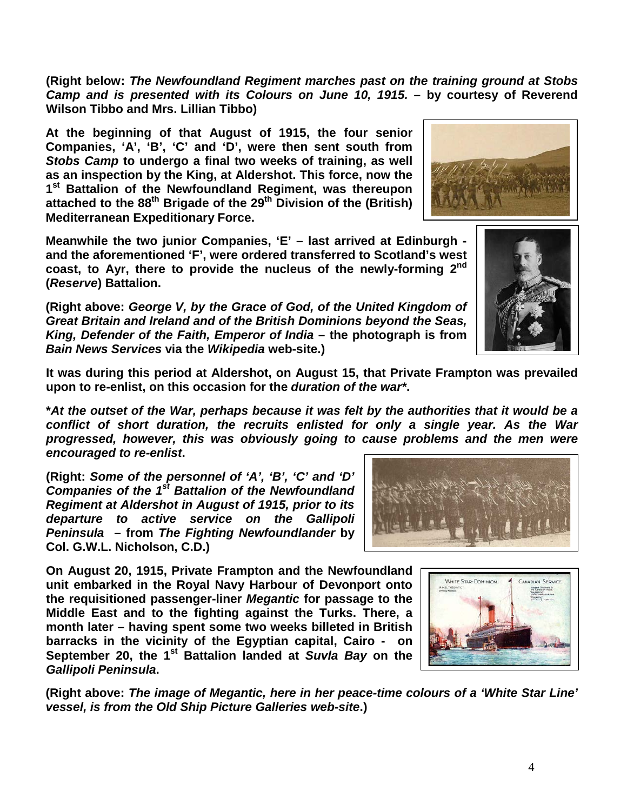**(Right above:** *The image of Megantic, here in her peace-time colours of a 'White Star Line' vessel, is from the Old Ship Picture Galleries web-site***.)**

**attached to the 88th Brigade of the 29th Division of the (British) Mediterranean Expeditionary Force.**

**(Right below:** *The Newfoundland Regiment marches past on the training ground at Stobs Camp and is presented with its Colours on June 10, 1915.* **– by courtesy of Reverend** 

**Meanwhile the two junior Companies, 'E' – last arrived at Edinburgh and the aforementioned 'F', were ordered transferred to Scotland's west coast, to Ayr, there to provide the nucleus of the newly-forming 2nd (***Reserve***) Battalion.**

**At the beginning of that August of 1915, the four senior Companies, 'A', 'B', 'C' and 'D', were then sent south from**  *Stobs Camp* **to undergo a final two weeks of training, as well as an inspection by the King, at Aldershot. This force, now the 1st Battalion of the Newfoundland Regiment, was thereupon** 

**(Right above:** *George V, by the Grace of God, of the United Kingdom of Great Britain and Ireland and of the British Dominions beyond the Seas, King, Defender of the Faith, Emperor of India* **– the photograph is from**  *Bain News Services* **via the** *Wikipedia* **web-site.)**

**It was during this period at Aldershot, on August 15, that Private Frampton was prevailed upon to re-enlist, on this occasion for the** *duration of the war\****.**

**\****At the outset of the War, perhaps because it was felt by the authorities that it would be a conflict of short duration, the recruits enlisted for only a single year. As the War progressed, however, this was obviously going to cause problems and the men were encouraged to re-enlist***.**

**(Right:** *Some of the personnel of 'A', 'B', 'C' and 'D' Companies of the 1st Battalion of the Newfoundland Regiment at Aldershot in August of 1915, prior to its departure to active service on the Gallipoli Peninsula* **– from** *The Fighting Newfoundlander* **by Col. G.W.L. Nicholson, C.D.)**

**Wilson Tibbo and Mrs. Lillian Tibbo)**

**On August 20, 1915, Private Frampton and the Newfoundland unit embarked in the Royal Navy Harbour of Devonport onto the requisitioned passenger-liner** *Megantic* **for passage to the Middle East and to the fighting against the Turks. There, a month later – having spent some two weeks billeted in British barracks in the vicinity of the Egyptian capital, Cairo - on September 20, the 1st Battalion landed at** *Suvla Bay* **on the**  *Gallipoli Peninsula***.**





WHITE STAR-DOMINION.



CANADIAN SERVICE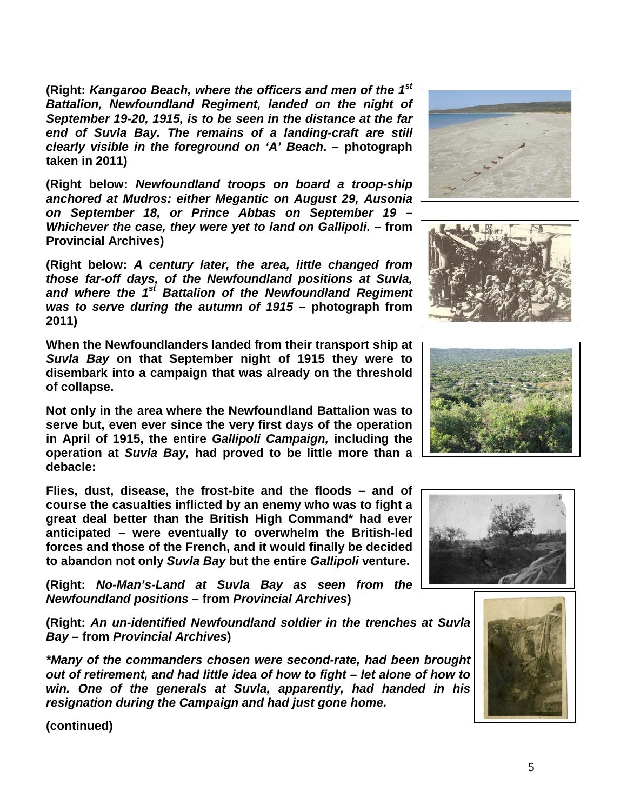**(Right:** *Kangaroo Beach, where the officers and men of the 1st Battalion, Newfoundland Regiment, landed on the night of September 19-20, 1915, is to be seen in the distance at the far end of Suvla Bay. The remains of a landing-craft are still clearly visible in the foreground on 'A' Beach***. – photograph taken in 2011)**

**(Right below:** *Newfoundland troops on board a troop-ship anchored at Mudros: either Megantic on August 29, Ausonia on September 18, or Prince Abbas on September 19 – Whichever the case, they were yet to land on Gallipoli***. – from Provincial Archives)**

**(Right below:** *A century later, the area, little changed from those far-off days, of the Newfoundland positions at Suvla, and where the 1st Battalion of the Newfoundland Regiment was to serve during the autumn of 1915* **– photograph from 2011)**

**When the Newfoundlanders landed from their transport ship at**  *Suvla Bay* **on that September night of 1915 they were to disembark into a campaign that was already on the threshold of collapse.**

**Not only in the area where the Newfoundland Battalion was to serve but, even ever since the very first days of the operation in April of 1915, the entire** *Gallipoli Campaign,* **including the operation at** *Suvla Bay,* **had proved to be little more than a debacle:** 

**Flies, dust, disease, the frost-bite and the floods – and of course the casualties inflicted by an enemy who was to fight a great deal better than the British High Command\* had ever anticipated – were eventually to overwhelm the British-led forces and those of the French, and it would finally be decided to abandon not only** *Suvla Bay* **but the entire** *Gallipoli* **venture.**

**(Right:** *No-Man's-Land at Suvla Bay as seen from the Newfoundland positions* **– from** *Provincial Archives***)**

**(Right:** *An un-identified Newfoundland soldier in the trenches at Suvla Bay –* **from** *Provincial Archives***)**

*\*Many of the commanders chosen were second-rate, had been brought out of retirement, and had little idea of how to fight – let alone of how to win. One of the generals at Suvla, apparently, had handed in his resignation during the Campaign and had just gone home.* 









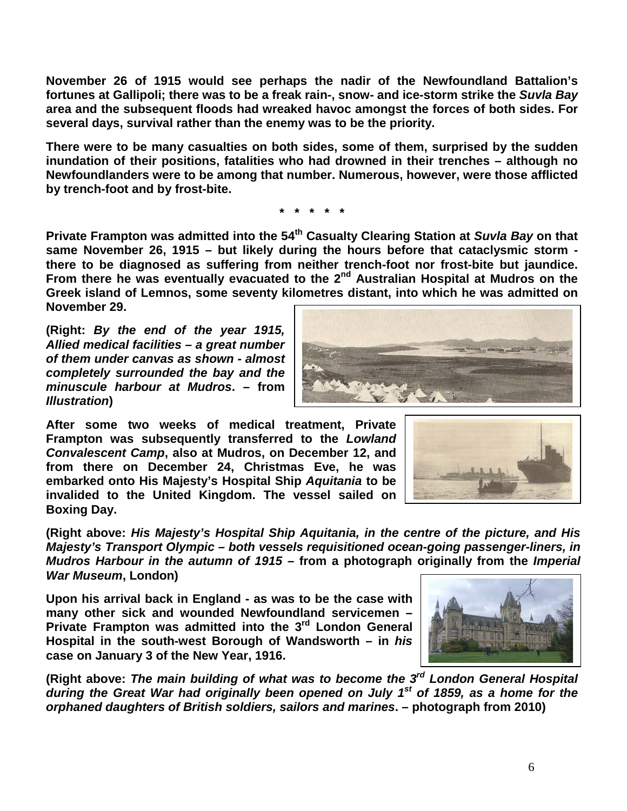**November 26 of 1915 would see perhaps the nadir of the Newfoundland Battalion's fortunes at Gallipoli; there was to be a freak rain-, snow- and ice-storm strike the** *Suvla Bay* **area and the subsequent floods had wreaked havoc amongst the forces of both sides. For several days, survival rather than the enemy was to be the priority.**

**There were to be many casualties on both sides, some of them, surprised by the sudden inundation of their positions, fatalities who had drowned in their trenches – although no Newfoundlanders were to be among that number. Numerous, however, were those afflicted by trench-foot and by frost-bite.**

**\* \* \* \* \***

**Private Frampton was admitted into the 54th Casualty Clearing Station at** *Suvla Bay* **on that same November 26, 1915 – but likely during the hours before that cataclysmic storm there to be diagnosed as suffering from neither trench-foot nor frost-bite but jaundice. From there he was eventually evacuated to the 2nd Australian Hospital at Mudros on the Greek island of Lemnos, some seventy kilometres distant, into which he was admitted on November 29.**

**(Right:** *By the end of the year 1915, Allied medical facilities – a great number of them under canvas as shown - almost completely surrounded the bay and the minuscule harbour at Mudros***. – from**  *Illustration***)**

**After some two weeks of medical treatment, Private Frampton was subsequently transferred to the** *Lowland Convalescent Camp***, also at Mudros, on December 12, and from there on December 24, Christmas Eve, he was embarked onto His Majesty's Hospital Ship** *Aquitania* **to be invalided to the United Kingdom. The vessel sailed on Boxing Day.**

**(Right above:** *His Majesty's Hospital Ship Aquitania, in the centre of the picture, and His Majesty's Transport Olympic – both vessels requisitioned ocean-going passenger-liners, in Mudros Harbour in the autumn of 1915* **– from a photograph originally from the** *Imperial War Museum***, London)**

**Upon his arrival back in England - as was to be the case with many other sick and wounded Newfoundland servicemen – Private Frampton was admitted into the 3rd London General Hospital in the south-west Borough of Wandsworth – in** *his* **case on January 3 of the New Year, 1916.** 

**(Right above:** *The main building of what was to become the 3rd London General Hospital during the Great War had originally been opened on July 1st of 1859, as a home for the orphaned daughters of British soldiers, sailors and marines***. – photograph from 2010)**





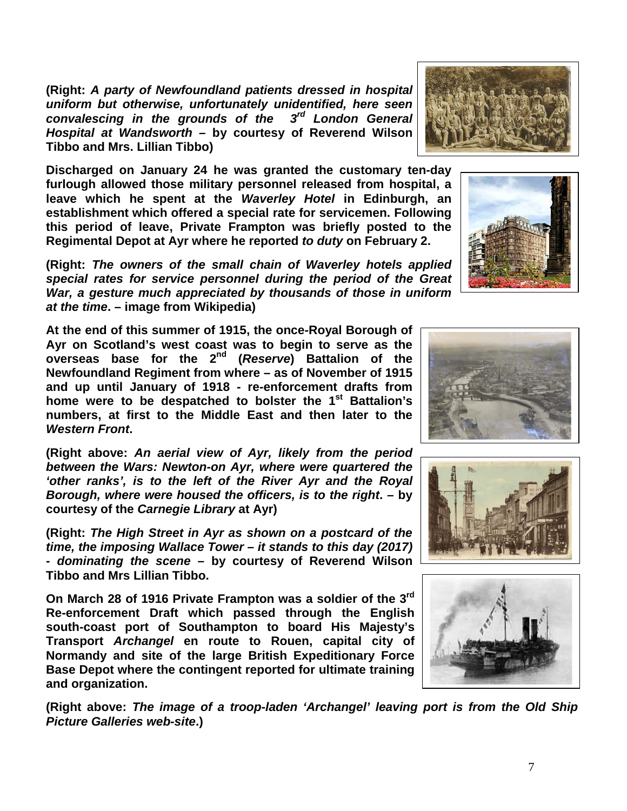**(Right:** *A party of Newfoundland patients dressed in hospital uniform but otherwise, unfortunately unidentified, here seen convalescing in the grounds of the 3rd London General Hospital at Wandsworth –* **by courtesy of Reverend Wilson Tibbo and Mrs. Lillian Tibbo)**

**Discharged on January 24 he was granted the customary ten-day furlough allowed those military personnel released from hospital, a leave which he spent at the** *Waverley Hotel* **in Edinburgh, an establishment which offered a special rate for servicemen. Following this period of leave, Private Frampton was briefly posted to the Regimental Depot at Ayr where he reported** *to duty* **on February 2.**

**(Right:** *The owners of the small chain of Waverley hotels applied special rates for service personnel during the period of the Great War, a gesture much appreciated by thousands of those in uniform at the time***. – image from Wikipedia)**

**At the end of this summer of 1915, the once-Royal Borough of Ayr on Scotland's west coast was to begin to serve as the overseas base for the 2nd (***Reserve***) Battalion of the Newfoundland Regiment from where – as of November of 1915 and up until January of 1918 - re-enforcement drafts from home were to be despatched to bolster the 1st Battalion's numbers, at first to the Middle East and then later to the**  *Western Front***.**

**(Right above:** *An aerial view of Ayr, likely from the period between the Wars: Newton-on Ayr, where were quartered the 'other ranks', is to the left of the River Ayr and the Royal Borough, where were housed the officers, is to the right***. – by courtesy of the** *Carnegie Library* **at Ayr)**

**(Right:** *The High Street in Ayr as shown on a postcard of the time, the imposing Wallace Tower – it stands to this day (2017) - dominating the scene* **– by courtesy of Reverend Wilson Tibbo and Mrs Lillian Tibbo.**

**On March 28 of 1916 Private Frampton was a soldier of the 3rd Re-enforcement Draft which passed through the English south-coast port of Southampton to board His Majesty's Transport** *Archangel* **en route to Rouen, capital city of Normandy and site of the large British Expeditionary Force Base Depot where the contingent reported for ultimate training and organization.**

**(Right above:** *The image of a troop-laden 'Archangel' leaving port is from the Old Ship Picture Galleries web-site***.)**

![](_page_6_Picture_8.jpeg)

![](_page_6_Picture_9.jpeg)

![](_page_6_Picture_10.jpeg)

![](_page_6_Picture_11.jpeg)

![](_page_6_Picture_12.jpeg)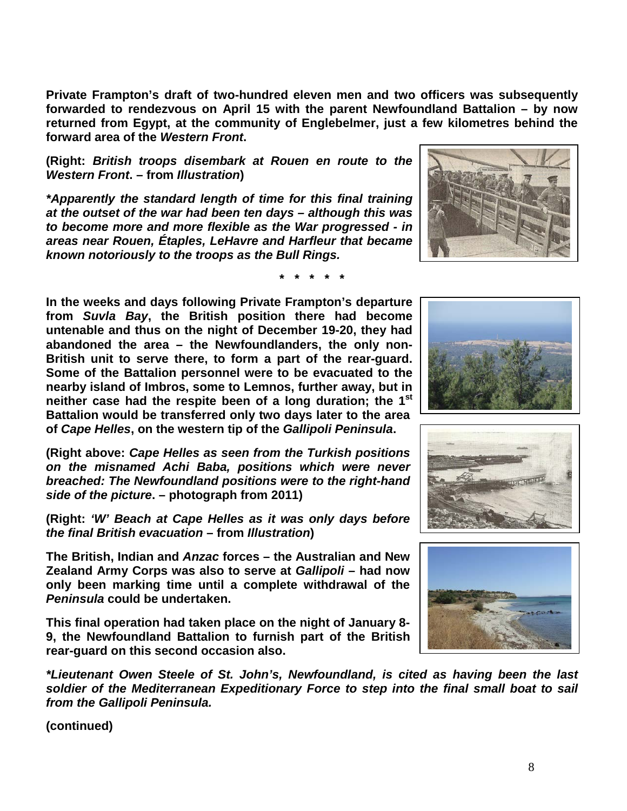**Private Frampton's draft of two-hundred eleven men and two officers was subsequently forwarded to rendezvous on April 15 with the parent Newfoundland Battalion – by now returned from Egypt, at the community of Englebelmer, just a few kilometres behind the forward area of the** *Western Front***.**

**(Right:** *British troops disembark at Rouen en route to the Western Front***. – from** *Illustration***)**

*\*Apparently the standard length of time for this final training at the outset of the war had been ten days – although this was to become more and more flexible as the War progressed - in areas near Rouen, Étaples, LeHavre and Harfleur that became known notoriously to the troops as the Bull Rings.*

**\* \* \* \* \***

**In the weeks and days following Private Frampton's departure from** *Suvla Bay***, the British position there had become untenable and thus on the night of December 19-20, they had abandoned the area – the Newfoundlanders, the only non-British unit to serve there, to form a part of the rear-guard. Some of the Battalion personnel were to be evacuated to the nearby island of Imbros, some to Lemnos, further away, but in neither case had the respite been of a long duration; the 1st Battalion would be transferred only two days later to the area of** *Cape Helles***, on the western tip of the** *Gallipoli Peninsula***.**

**(Right above:** *Cape Helles as seen from the Turkish positions on the misnamed Achi Baba, positions which were never breached: The Newfoundland positions were to the right-hand side of the picture***. – photograph from 2011)**

**(Right:** *'W' Beach at Cape Helles as it was only days before the final British evacuation* **– from** *Illustration***)**

**The British, Indian and** *Anzac* **forces – the Australian and New Zealand Army Corps was also to serve at** *Gallipoli* **– had now only been marking time until a complete withdrawal of the**  *Peninsula* **could be undertaken.** 

**This final operation had taken place on the night of January 8- 9, the Newfoundland Battalion to furnish part of the British rear-guard on this second occasion also.**

*\*Lieutenant Owen Steele of St. John's, Newfoundland, is cited as having been the last soldier of the Mediterranean Expeditionary Force to step into the final small boat to sail from the Gallipoli Peninsula.*

![](_page_7_Picture_11.jpeg)

![](_page_7_Picture_12.jpeg)

![](_page_7_Picture_13.jpeg)

![](_page_7_Picture_14.jpeg)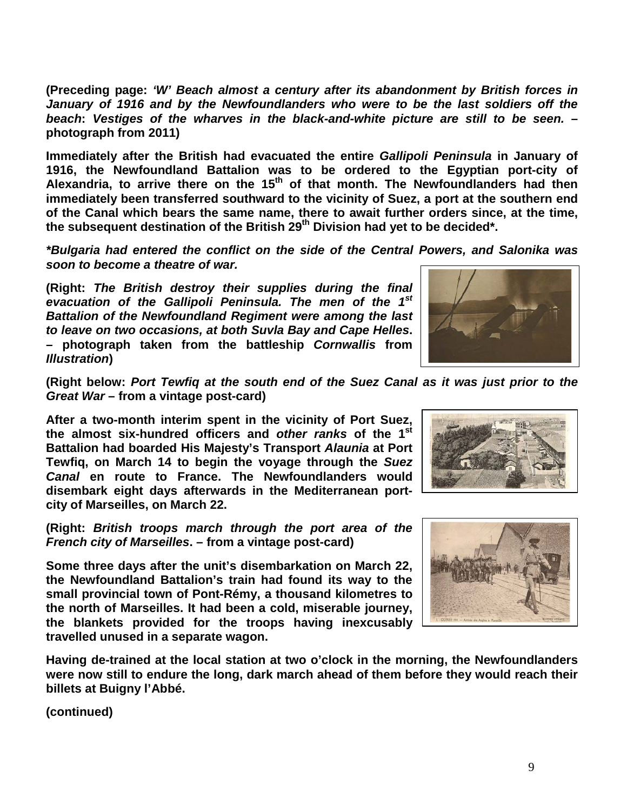**(Preceding page:** *'W' Beach almost a century after its abandonment by British forces in January of 1916 and by the Newfoundlanders who were to be the last soldiers off the beach***:** *Vestiges of the wharves in the black-and-white picture are still to be seen.* **– photograph from 2011)**

**Immediately after the British had evacuated the entire** *Gallipoli Peninsula* **in January of 1916, the Newfoundland Battalion was to be ordered to the Egyptian port-city of**  Alexandria, to arrive there on the 15<sup>th</sup> of that month. The Newfoundlanders had then **immediately been transferred southward to the vicinity of Suez, a port at the southern end of the Canal which bears the same name, there to await further orders since, at the time,**  the subsequent destination of the British 29<sup>th</sup> Division had yet to be decided<sup>\*</sup>.

*\*Bulgaria had entered the conflict on the side of the Central Powers, and Salonika was soon to become a theatre of war.*

**(Right:** *The British destroy their supplies during the final evacuation of the Gallipoli Peninsula. The men of the 1st Battalion of the Newfoundland Regiment were among the last to leave on two occasions, at both Suvla Bay and Cape Helles***. – photograph taken from the battleship** *Cornwallis* **from**  *Illustration***)**

![](_page_8_Picture_4.jpeg)

**(Right below:** *Port Tewfiq at the south end of the Suez Canal as it was just prior to the Great War* **– from a vintage post-card)**

**After a two-month interim spent in the vicinity of Port Suez, the almost six-hundred officers and** *other ranks* **of the 1st Battalion had boarded His Majesty's Transport** *Alaunia* **at Port Tewfiq, on March 14 to begin the voyage through the** *Suez Canal* **en route to France. The Newfoundlanders would disembark eight days afterwards in the Mediterranean portcity of Marseilles, on March 22.**

**(Right:** *British troops march through the port area of the French city of Marseilles***. – from a vintage post-card)**

**Some three days after the unit's disembarkation on March 22, the Newfoundland Battalion's train had found its way to the small provincial town of Pont-Rémy, a thousand kilometres to the north of Marseilles. It had been a cold, miserable journey, the blankets provided for the troops having inexcusably travelled unused in a separate wagon.**

**Having de-trained at the local station at two o'clock in the morning, the Newfoundlanders were now still to endure the long, dark march ahead of them before they would reach their billets at Buigny l'Abbé.**

![](_page_8_Picture_11.jpeg)

![](_page_8_Picture_12.jpeg)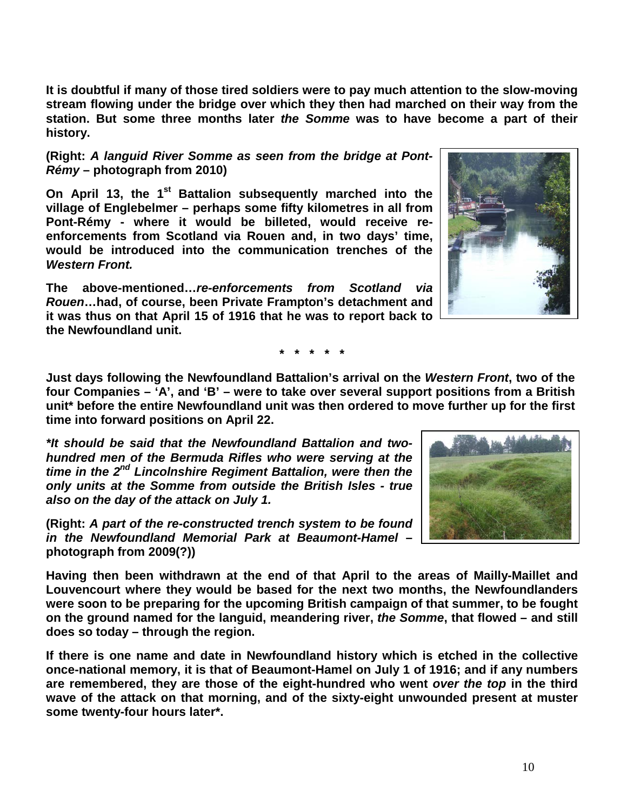**It is doubtful if many of those tired soldiers were to pay much attention to the slow-moving stream flowing under the bridge over which they then had marched on their way from the station. But some three months later** *the Somme* **was to have become a part of their history.**

**(Right:** *A languid River Somme as seen from the bridge at Pont-Rémy* **– photograph from 2010)**

**On April 13, the 1st Battalion subsequently marched into the village of Englebelmer – perhaps some fifty kilometres in all from Pont-Rémy - where it would be billeted, would receive reenforcements from Scotland via Rouen and, in two days' time, would be introduced into the communication trenches of the**  *Western Front.*

**The above-mentioned…***re-enforcements from Scotland via Rouen***…had, of course, been Private Frampton's detachment and it was thus on that April 15 of 1916 that he was to report back to the Newfoundland unit.**

**\* \* \* \* \***

**Just days following the Newfoundland Battalion's arrival on the** *Western Front***, two of the four Companies – 'A', and 'B' – were to take over several support positions from a British unit\* before the entire Newfoundland unit was then ordered to move further up for the first time into forward positions on April 22.**

*\*It should be said that the Newfoundland Battalion and twohundred men of the Bermuda Rifles who were serving at the time in the 2nd Lincolnshire Regiment Battalion, were then the only units at the Somme from outside the British Isles - true also on the day of the attack on July 1.*

**(Right:** *A part of the re-constructed trench system to be found in the Newfoundland Memorial Park at Beaumont-Hamel* **– photograph from 2009(?))**

**Having then been withdrawn at the end of that April to the areas of Mailly-Maillet and Louvencourt where they would be based for the next two months, the Newfoundlanders were soon to be preparing for the upcoming British campaign of that summer, to be fought on the ground named for the languid, meandering river,** *the Somme***, that flowed – and still does so today – through the region.** 

**If there is one name and date in Newfoundland history which is etched in the collective once-national memory, it is that of Beaumont-Hamel on July 1 of 1916; and if any numbers are remembered, they are those of the eight-hundred who went** *over the top* **in the third wave of the attack on that morning, and of the sixty-eight unwounded present at muster some twenty-four hours later\*.**

![](_page_9_Picture_10.jpeg)

![](_page_9_Picture_11.jpeg)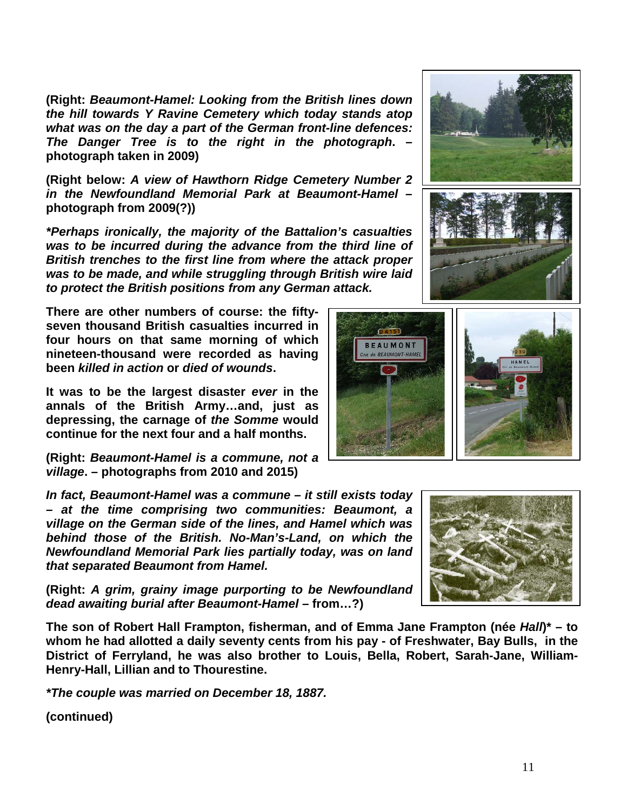**(Right:** *Beaumont-Hamel: Looking from the British lines down the hill towards Y Ravine Cemetery which today stands atop what was on the day a part of the German front-line defences: The Danger Tree is to the right in the photograph***. – photograph taken in 2009)**

**(Right below:** *A view of Hawthorn Ridge Cemetery Number 2 in the Newfoundland Memorial Park at Beaumont-Hamel* **– photograph from 2009(?))**

*\*Perhaps ironically, the majority of the Battalion's casualties was to be incurred during the advance from the third line of British trenches to the first line from where the attack proper was to be made, and while struggling through British wire laid to protect the British positions from any German attack.*

**There are other numbers of course: the fiftyseven thousand British casualties incurred in four hours on that same morning of which nineteen-thousand were recorded as having been** *killed in action* **or** *died of wounds***.** 

**It was to be the largest disaster** *ever* **in the annals of the British Army…and, just as depressing, the carnage of** *the Somme* **would continue for the next four and a half months.**

**(Right:** *Beaumont-Hamel is a commune, not a village***. – photographs from 2010 and 2015)**

*In fact, Beaumont-Hamel was a commune – it still exists today – at the time comprising two communities: Beaumont, a village on the German side of the lines, and Hamel which was behind those of the British. No-Man's-Land, on which the Newfoundland Memorial Park lies partially today, was on land that separated Beaumont from Hamel.* 

**(Right:** *A grim, grainy image purporting to be Newfoundland dead awaiting burial after Beaumont-Hamel –* **from…?)**

**The son of Robert Hall Frampton, fisherman, and of Emma Jane Frampton (née** *Hall***)\* – to whom he had allotted a daily seventy cents from his pay - of Freshwater, Bay Bulls, in the District of Ferryland, he was also brother to Louis, Bella, Robert, Sarah-Jane, William-Henry-Hall, Lillian and to Thourestine.**

*\*The couple was married on December 18, 1887.*

![](_page_10_Picture_11.jpeg)

![](_page_10_Picture_12.jpeg)

![](_page_10_Picture_13.jpeg)